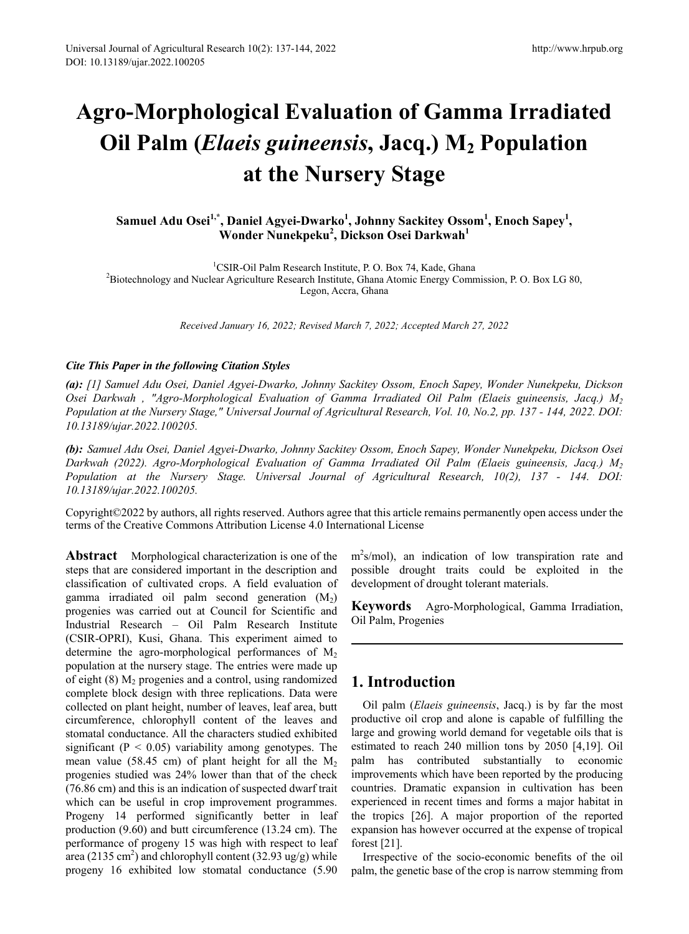# **Agro-Morphological Evaluation of Gamma Irradiated Oil Palm** (*Elaeis guineensis*, Jacq.) M<sub>2</sub> Population **at the Nursery Stage**

# Samuel Adu Osei<sup>1,\*</sup>, Daniel Agyei-Dwarko<sup>1</sup>, Johnny Sackitey Ossom<sup>1</sup>, Enoch Sapey<sup>1</sup>, **Wonder Nunekpeku<sup>2</sup> , Dickson Osei Darkwah<sup>1</sup>**

<sup>1</sup>CSIR-Oil Palm Research Institute, P. O. Box 74, Kade, Ghana

<sup>2</sup> ESIR-Oil Palm Research Institute, P. O. Box 74, Kade, Ghana<br><sup>2</sup> Biotechnology and Nuclear Agriculture Research Institute, Ghana Atomic Energy Commission, P. O. Box LG 80, Legon, Accra, Ghana

*Received January 16, 2022; Revised March 7, 2022; Accepted March 27, 2022* 

## *Cite This Paper in the following Citation Styles*

*(a): [1] Samuel Adu Osei, Daniel Agyei-Dwarko, Johnny Sackitey Ossom, Enoch Sapey, Wonder Nunekpeku, Dickson Osei Darkwah , "Agro-Morphological Evaluation of Gamma Irradiated Oil Palm (Elaeis guineensis, Jacq.) M2 Population at the Nursery Stage," Universal Journal of Agricultural Research, Vol. 10, No.2, pp. 137 - 144, 2022. DOI: 10.13189/ujar.2022.100205.* 

*(b): Samuel Adu Osei, Daniel Agyei-Dwarko, Johnny Sackitey Ossom, Enoch Sapey, Wonder Nunekpeku, Dickson Osei Darkwah (2022). Agro-Morphological Evaluation of Gamma Irradiated Oil Palm (Elaeis guineensis, Jacq.) M2 Population at the Nursery Stage. Universal Journal of Agricultural Research, 10(2), 137 - 144. DOI: 10.13189/ujar.2022.100205.* 

Copyright©2022 by authors, all rights reserved. Authors agree that this article remains permanently open access under the terms of the Creative Commons Attribution License 4.0 International License

**Abstract** Morphological characterization is one of the steps that are considered important in the description and classification of cultivated crops. A field evaluation of gamma irradiated oil palm second generation  $(M_2)$ progenies was carried out at Council for Scientific and Industrial Research – Oil Palm Research Institute (CSIR-OPRI), Kusi, Ghana. This experiment aimed to determine the agro-morphological performances of  $M<sub>2</sub>$ population at the nursery stage. The entries were made up of eight  $(8)$   $M_2$  progenies and a control, using randomized complete block design with three replications. Data were collected on plant height, number of leaves, leaf area, butt circumference, chlorophyll content of the leaves and stomatal conductance. All the characters studied exhibited significant ( $P < 0.05$ ) variability among genotypes. The mean value (58.45 cm) of plant height for all the  $M_2$ progenies studied was 24% lower than that of the check (76.86 cm) and this is an indication of suspected dwarf trait which can be useful in crop improvement programmes. Progeny 14 performed significantly better in leaf production (9.60) and butt circumference (13.24 cm). The performance of progeny 15 was high with respect to leaf area (2135 cm<sup>2</sup>) and chlorophyll content (32.93 ug/g) while progeny 16 exhibited low stomatal conductance (5.90

m<sup>2</sup>s/mol), an indication of low transpiration rate and possible drought traits could be exploited in the development of drought tolerant materials.

**Keywords** Agro-Morphological, Gamma Irradiation, Oil Palm, Progenies

# **1. Introduction**

Oil palm (*Elaeis guineensis*, Jacq.) is by far the most productive oil crop and alone is capable of fulfilling the large and growing world demand for vegetable oils that is estimated to reach 240 million tons by 2050 [4,19]. Oil palm has contributed substantially to economic improvements which have been reported by the producing countries. Dramatic expansion in cultivation has been experienced in recent times and forms a major habitat in the tropics [26]. A major proportion of the reported expansion has however occurred at the expense of tropical forest [21].

Irrespective of the socio-economic benefits of the oil palm, the genetic base of the crop is narrow stemming from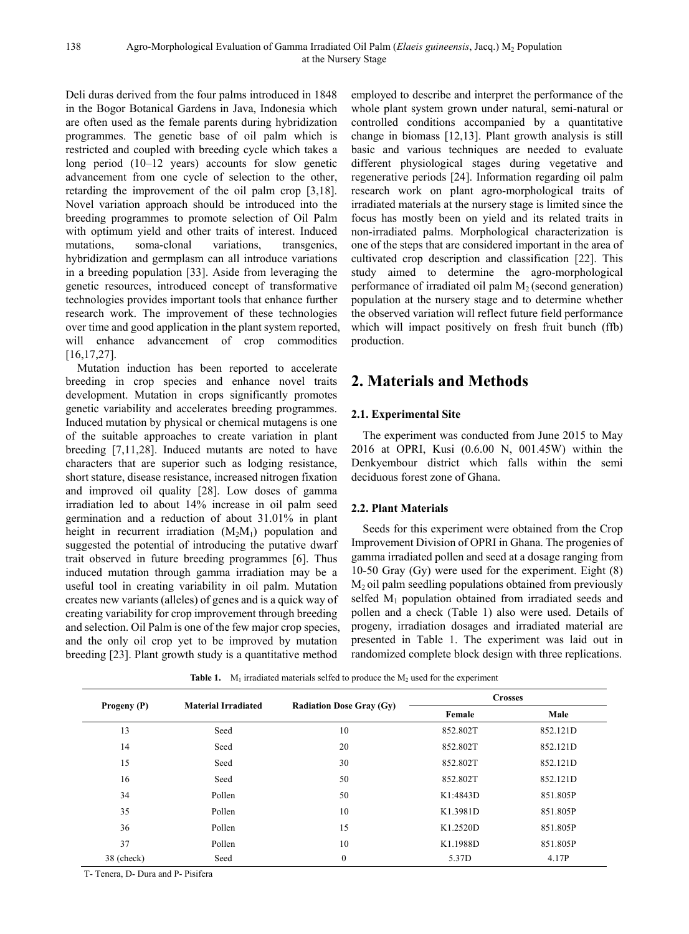Deli duras derived from the four palms introduced in 1848 in the Bogor Botanical Gardens in Java, Indonesia which are often used as the female parents during hybridization programmes. The genetic base of oil palm which is restricted and coupled with breeding cycle which takes a long period (10–12 years) accounts for slow genetic advancement from one cycle of selection to the other, retarding the improvement of the oil palm crop [3,18]. Novel variation approach should be introduced into the breeding programmes to promote selection of Oil Palm with optimum yield and other traits of interest. Induced mutations, soma-clonal variations, transgenics, hybridization and germplasm can all introduce variations in a breeding population [33]. Aside from leveraging the genetic resources, introduced concept of transformative technologies provides important tools that enhance further research work. The improvement of these technologies over time and good application in the plant system reported, will enhance advancement of crop commodities [16,17,27].

Mutation induction has been reported to accelerate breeding in crop species and enhance novel traits development. Mutation in crops significantly promotes genetic variability and accelerates breeding programmes. Induced mutation by physical or chemical mutagens is one of the suitable approaches to create variation in plant breeding [7,11,28]. Induced mutants are noted to have characters that are superior such as lodging resistance, short stature, disease resistance, increased nitrogen fixation and improved oil quality [28]. Low doses of gamma irradiation led to about 14% increase in oil palm seed germination and a reduction of about 31.01% in plant height in recurrent irradiation  $(M_2M_1)$  population and suggested the potential of introducing the putative dwarf trait observed in future breeding programmes [6]. Thus induced mutation through gamma irradiation may be a useful tool in creating variability in oil palm. Mutation creates new variants (alleles) of genes and is a quick way of creating variability for crop improvement through breeding and selection. Oil Palm is one of the few major crop species, and the only oil crop yet to be improved by mutation breeding [23]. Plant growth study is a quantitative method

employed to describe and interpret the performance of the whole plant system grown under natural, semi-natural or controlled conditions accompanied by a quantitative change in biomass [12,13]. Plant growth analysis is still basic and various techniques are needed to evaluate different physiological stages during vegetative and regenerative periods [24]. Information regarding oil palm research work on plant agro-morphological traits of irradiated materials at the nursery stage is limited since the focus has mostly been on yield and its related traits in non-irradiated palms. Morphological characterization is one of the steps that are considered important in the area of cultivated crop description and classification [22]. This study aimed to determine the agro-morphological performance of irradiated oil palm  $M<sub>2</sub>$  (second generation) population at the nursery stage and to determine whether the observed variation will reflect future field performance which will impact positively on fresh fruit bunch (ffb) production.

# **2. Materials and Methods**

## **2.1. Experimental Site**

The experiment was conducted from June 2015 to May 2016 at OPRI, Kusi (0.6.00 N, 001.45W) within the Denkyembour district which falls within the semi deciduous forest zone of Ghana.

# **2.2. Plant Materials**

Seeds for this experiment were obtained from the Crop Improvement Division of OPRI in Ghana. The progenies of gamma irradiated pollen and seed at a dosage ranging from 10-50 Gray (Gy) were used for the experiment. Eight (8)  $M<sub>2</sub>$  oil palm seedling populations obtained from previously selfed M<sub>1</sub> population obtained from irradiated seeds and pollen and a check (Table 1) also were used. Details of progeny, irradiation dosages and irradiated material are presented in Table 1. The experiment was laid out in randomized complete block design with three replications.

**Table 1.**  $M_1$  irradiated materials selfed to produce the  $M_2$  used for the experiment

| Progeny (P) | <b>Material Irradiated</b> |                                 | <b>Crosses</b> |          |  |
|-------------|----------------------------|---------------------------------|----------------|----------|--|
|             |                            | <b>Radiation Dose Gray (Gy)</b> | Female         | Male     |  |
| 13          | Seed                       | 10                              | 852.802T       | 852.121D |  |
| 14          | Seed                       | 20                              | 852.802T       | 852.121D |  |
| 15          | Seed                       | 30                              | 852.802T       | 852.121D |  |
| 16          | Seed                       | 50                              | 852.802T       | 852.121D |  |
| 34          | Pollen                     | 50                              | K1:4843D       | 851.805P |  |
| 35          | Pollen                     | 10                              | K1.3981D       | 851.805P |  |
| 36          | Pollen                     | 15                              | K1.2520D       | 851.805P |  |
| 37          | Pollen                     | 10                              | K1.1988D       | 851.805P |  |
| 38 (check)  | Seed                       | $\theta$                        | 5.37D          | 4.17P    |  |

T- Tenera, D- Dura and P- Pisifera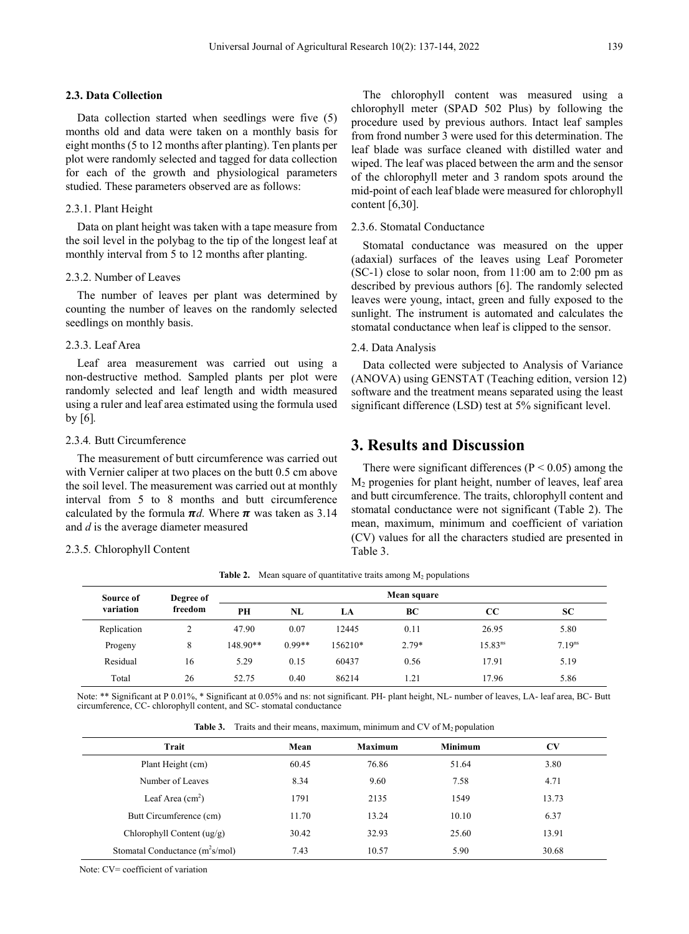## **2.3. Data Collection**

Data collection started when seedlings were five (5) months old and data were taken on a monthly basis for eight months (5 to 12 months after planting). Ten plants per plot were randomly selected and tagged for data collection for each of the growth and physiological parameters studied. These parameters observed are as follows:

#### 2.3.1. Plant Height

Data on plant height was taken with a tape measure from the soil level in the polybag to the tip of the longest leaf at monthly interval from 5 to 12 months after planting.

## 2.3.2. Number of Leaves

The number of leaves per plant was determined by counting the number of leaves on the randomly selected seedlings on monthly basis.

#### 2.3.3. Leaf Area

Leaf area measurement was carried out using a non-destructive method. Sampled plants per plot were randomly selected and leaf length and width measured using a ruler and leaf area estimated using the formula used by [6]*.* 

## 2.3.4*.* Butt Circumference

The measurement of butt circumference was carried out with Vernier caliper at two places on the butt 0.5 cm above the soil level. The measurement was carried out at monthly interval from 5 to 8 months and butt circumference calculated by the formula  $\pi d$ . Where  $\pi$  was taken as 3.14 and *d* is the average diameter measured

#### 2.3.5*.* Chlorophyll Content

The chlorophyll content was measured using a chlorophyll meter (SPAD 502 Plus) by following the procedure used by previous authors. Intact leaf samples from frond number 3 were used for this determination. The leaf blade was surface cleaned with distilled water and wiped. The leaf was placed between the arm and the sensor of the chlorophyll meter and 3 random spots around the mid-point of each leaf blade were measured for chlorophyll content [6,30].

## 2.3.6. Stomatal Conductance

Stomatal conductance was measured on the upper (adaxial) surfaces of the leaves using Leaf Porometer  $(SC-1)$  close to solar noon, from  $11:00$  am to 2:00 pm as described by previous authors [6]. The randomly selected leaves were young, intact, green and fully exposed to the sunlight. The instrument is automated and calculates the stomatal conductance when leaf is clipped to the sensor.

#### 2.4. Data Analysis

Data collected were subjected to Analysis of Variance (ANOVA) using GENSTAT (Teaching edition, version 12) software and the treatment means separated using the least significant difference (LSD) test at 5% significant level.

# **3. Results and Discussion**

There were significant differences ( $P < 0.05$ ) among the M2 progenies for plant height, number of leaves, leaf area and butt circumference. The traits, chlorophyll content and stomatal conductance were not significant (Table 2). The mean, maximum, minimum and coefficient of variation (CV) values for all the characters studied are presented in Table 3.

| Source of<br>variation | Degree of<br>freedom | Mean square |          |         |         |                     |                    |
|------------------------|----------------------|-------------|----------|---------|---------|---------------------|--------------------|
|                        |                      | PH          | NL       | LA      | BC      | CC                  | SC                 |
| Replication            | ↑                    | 47.90       | 0.07     | 12445   | 0.11    | 26.95               | 5.80               |
| Progeny                | 8                    | 148.90**    | $0.99**$ | 156210* | $2.79*$ | 15.83 <sup>ns</sup> | 7.19 <sup>ns</sup> |
| Residual               | 16                   | 5.29        | 0.15     | 60437   | 0.56    | 17.91               | 5.19               |
| Total                  | 26                   | 52.75       | 0.40     | 86214   | 1.21    | 17.96               | 5.86               |

**Table 2.** Mean square of quantitative traits among  $M_2$  populations

Note: \*\* Significant at P 0.01%, \* Significant at 0.05% and ns: not significant. PH- plant height, NL- number of leaves, LA- leaf area, BC- Butt circumference, CC- chlorophyll content, and SC- stomatal conductance

|  | <b>Table 3.</b> Traits and their means, maximum, minimum and CV of $M_2$ population |  |  |  |  |  |
|--|-------------------------------------------------------------------------------------|--|--|--|--|--|
|--|-------------------------------------------------------------------------------------|--|--|--|--|--|

| Trait                             | Mean  | <b>Maximum</b> | <b>Minimum</b> | CV    |
|-----------------------------------|-------|----------------|----------------|-------|
| Plant Height (cm)                 | 60.45 | 76.86          | 51.64          | 3.80  |
| Number of Leaves                  | 8.34  | 9.60           | 7.58           | 4.71  |
| Leaf Area $(cm2)$                 | 1791  | 2135           | 1549           | 13.73 |
| Butt Circumference (cm)           | 11.70 | 13.24          | 10.10          | 6.37  |
| Chlorophyll Content $(ug/g)$      | 30.42 | 32.93          | 25.60          | 13.91 |
| Stomatal Conductance $(m^2s/mol)$ | 7.43  | 10.57          | 5.90           | 30.68 |

Note: CV= coefficient of variation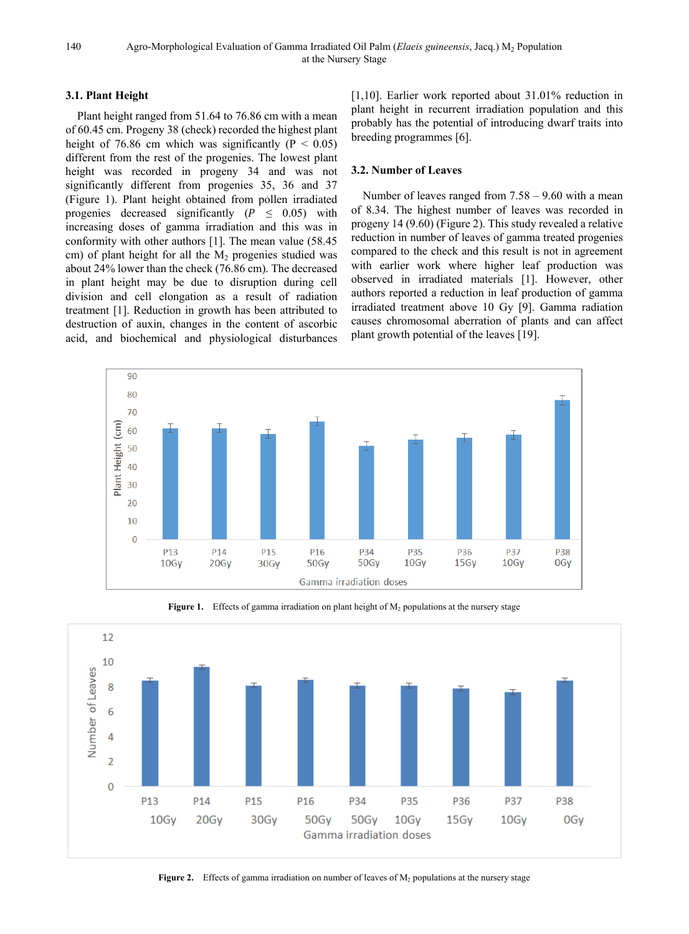140 Agro-Morphological Evaluation of Gamma Irradiated Oil Palm (*Elaeis guineensis*, Jacq.) M2 Population at the Nursery Stage

## **3.1. Plant Height**

Plant height ranged from 51.64 to 76.86 cm with a mean of 60.45 cm. Progeny 38 (check) recorded the highest plant height of 76.86 cm which was significantly ( $P < 0.05$ ) different from the rest of the progenies. The lowest plant height was recorded in progeny 34 and was not significantly different from progenies 35, 36 and 37 (Figure 1). Plant height obtained from pollen irradiated progenies decreased significantly ( $P \leq 0.05$ ) with increasing doses of gamma irradiation and this was in conformity with other authors [1]. The mean value (58.45 cm) of plant height for all the  $M<sub>2</sub>$  progenies studied was about 24% lower than the check (76.86 cm). The decreased in plant height may be due to disruption during cell division and cell elongation as a result of radiation treatment [1]. Reduction in growth has been attributed to destruction of auxin, changes in the content of ascorbic acid, and biochemical and physiological disturbances

[1,10]. Earlier work reported about 31.01% reduction in plant height in recurrent irradiation population and this probably has the potential of introducing dwarf traits into breeding programmes [6].

## **3.2. Number of Leaves**

Number of leaves ranged from 7.58 – 9.60 with a mean of 8.34. The highest number of leaves was recorded in progeny 14 (9.60) (Figure 2). This study revealed a relative reduction in number of leaves of gamma treated progenies compared to the check and this result is not in agreement with earlier work where higher leaf production was observed in irradiated materials [1]. However, other authors reported a reduction in leaf production of gamma irradiated treatment above 10 Gy [9]. Gamma radiation causes chromosomal aberration of plants and can affect plant growth potential of the leaves [19].



Figure 1. Effects of gamma irradiation on plant height of M<sub>2</sub> populations at the nursery stage



**Figure 2.** Effects of gamma irradiation on number of leaves of  $M_2$  populations at the nursery stage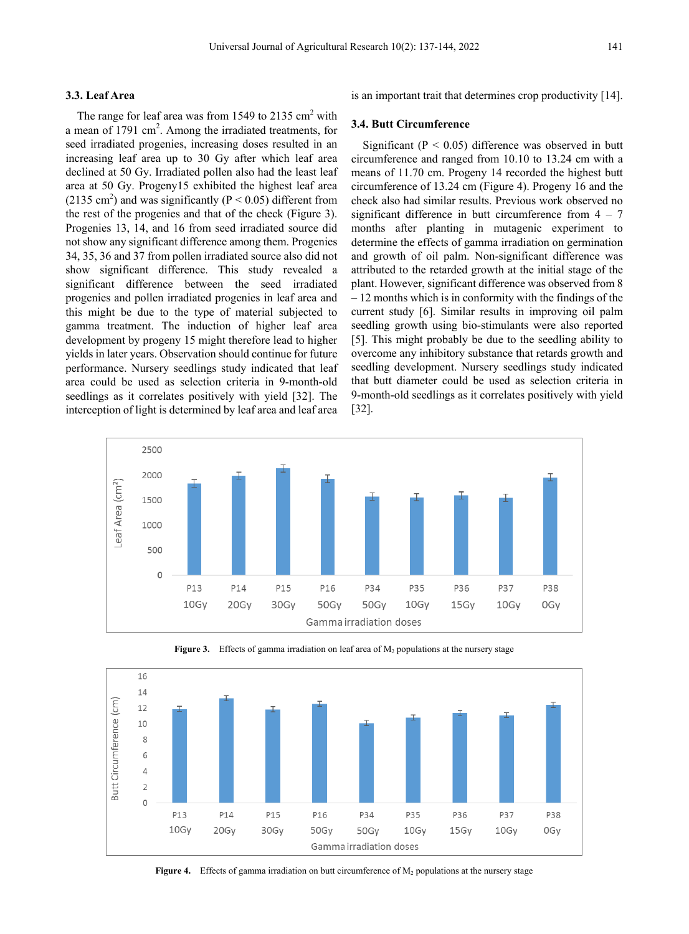## **3.3. Leaf Area**

The range for leaf area was from 1549 to 2135 cm<sup>2</sup> with a mean of 1791 cm<sup>2</sup>. Among the irradiated treatments, for seed irradiated progenies, increasing doses resulted in an increasing leaf area up to 30 Gy after which leaf area declined at 50 Gy. Irradiated pollen also had the least leaf area at 50 Gy. Progeny15 exhibited the highest leaf area (2135 cm<sup>2</sup>) and was significantly ( $P < 0.05$ ) different from the rest of the progenies and that of the check (Figure 3). Progenies 13, 14, and 16 from seed irradiated source did not show any significant difference among them. Progenies 34, 35, 36 and 37 from pollen irradiated source also did not show significant difference. This study revealed a significant difference between the seed irradiated progenies and pollen irradiated progenies in leaf area and this might be due to the type of material subjected to gamma treatment. The induction of higher leaf area development by progeny 15 might therefore lead to higher yields in later years. Observation should continue for future performance. Nursery seedlings study indicated that leaf area could be used as selection criteria in 9-month-old seedlings as it correlates positively with yield [32]. The interception of light is determined by leaf area and leaf area

is an important trait that determines crop productivity [14].

### **3.4. Butt Circumference**

Significant ( $P < 0.05$ ) difference was observed in butt circumference and ranged from 10.10 to 13.24 cm with a means of 11.70 cm. Progeny 14 recorded the highest butt circumference of 13.24 cm (Figure 4). Progeny 16 and the check also had similar results. Previous work observed no significant difference in butt circumference from  $4 - 7$ months after planting in mutagenic experiment to determine the effects of gamma irradiation on germination and growth of oil palm. Non-significant difference was attributed to the retarded growth at the initial stage of the plant. However, significant difference was observed from 8 – 12 months which is in conformity with the findings of the current study [6]. Similar results in improving oil palm seedling growth using bio-stimulants were also reported [5]. This might probably be due to the seedling ability to overcome any inhibitory substance that retards growth and seedling development. Nursery seedlings study indicated that butt diameter could be used as selection criteria in 9-month-old seedlings as it correlates positively with yield [32].





Figure 3. Effects of gamma irradiation on leaf area of M<sub>2</sub> populations at the nursery stage

**Figure 4.** Effects of gamma irradiation on butt circumference of M<sub>2</sub> populations at the nursery stage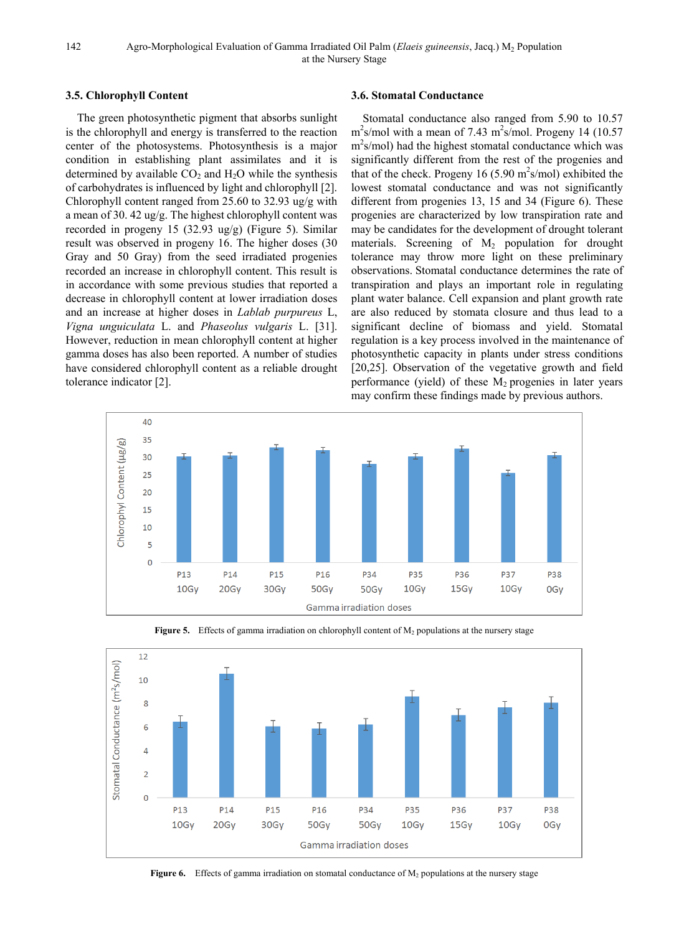142 Agro-Morphological Evaluation of Gamma Irradiated Oil Palm (*Elaeis guineensis*, Jacq.) M2 Population at the Nursery Stage

## **3.5. Chlorophyll Content**

The green photosynthetic pigment that absorbs sunlight is the chlorophyll and energy is transferred to the reaction center of the photosystems. Photosynthesis is a major condition in establishing plant assimilates and it is determined by available  $CO<sub>2</sub>$  and  $H<sub>2</sub>O$  while the synthesis of carbohydrates is influenced by light and chlorophyll [2]. Chlorophyll content ranged from 25.60 to 32.93 ug/g with a mean of 30. 42 ug/g. The highest chlorophyll content was recorded in progeny 15 (32.93 ug/g) (Figure 5). Similar result was observed in progeny 16. The higher doses (30 Gray and 50 Gray) from the seed irradiated progenies recorded an increase in chlorophyll content. This result is in accordance with some previous studies that reported a decrease in chlorophyll content at lower irradiation doses and an increase at higher doses in *Lablab purpureus* L, *Vigna unguiculata* L. and *Phaseolus vulgaris* L. [31]. However, reduction in mean chlorophyll content at higher gamma doses has also been reported. A number of studies have considered chlorophyll content as a reliable drought tolerance indicator [2].

## **3.6. Stomatal Conductance**

Stomatal conductance also ranged from 5.90 to 10.57  $\text{m}^2$ s/mol with a mean of 7.43 m<sup>2</sup>s/mol. Progeny 14 (10.57)  $m<sup>2</sup>s/mol$ ) had the highest stomatal conductance which was significantly different from the rest of the progenies and that of the check. Progeny 16  $(5.90 \text{ m}^2 \text{s/mol})$  exhibited the lowest stomatal conductance and was not significantly different from progenies 13, 15 and 34 (Figure 6). These progenies are characterized by low transpiration rate and may be candidates for the development of drought tolerant materials. Screening of  $M_2$  population for drought tolerance may throw more light on these preliminary observations. Stomatal conductance determines the rate of transpiration and plays an important role in regulating plant water balance. Cell expansion and plant growth rate are also reduced by stomata closure and thus lead to a significant decline of biomass and yield. Stomatal regulation is a key process involved in the maintenance of photosynthetic capacity in plants under stress conditions [20,25]. Observation of the vegetative growth and field performance (yield) of these  $M_2$  progenies in later years may confirm these findings made by previous authors.





Figure 5. Effects of gamma irradiation on chlorophyll content of M<sub>2</sub> populations at the nursery stage

**Figure 6.** Effects of gamma irradiation on stomatal conductance of  $M_2$  populations at the nursery stage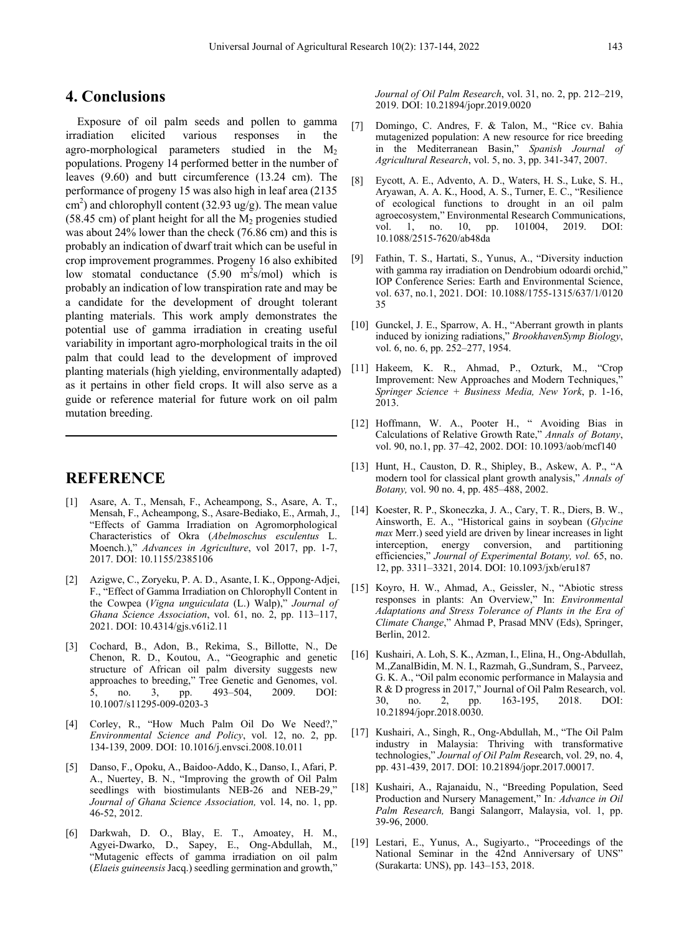# **4. Conclusions**

Exposure of oil palm seeds and pollen to gamma irradiation elicited various responses in the agro-morphological parameters studied in the M2 populations. Progeny 14 performed better in the number of leaves (9.60) and butt circumference (13.24 cm). The performance of progeny 15 was also high in leaf area (2135  $\text{cm}^2$ ) and chlorophyll content (32.93 ug/g). The mean value (58.45 cm) of plant height for all the  $M_2$  progenies studied was about 24% lower than the check (76.86 cm) and this is probably an indication of dwarf trait which can be useful in crop improvement programmes. Progeny 16 also exhibited low stomatal conductance  $(5.90 \text{ m}^2\text{s/mol})$  which is probably an indication of low transpiration rate and may be a candidate for the development of drought tolerant planting materials. This work amply demonstrates the potential use of gamma irradiation in creating useful variability in important agro-morphological traits in the oil palm that could lead to the development of improved planting materials (high yielding, environmentally adapted) as it pertains in other field crops. It will also serve as a guide or reference material for future work on oil palm mutation breeding.

# **REFERENCE**

- [1] Asare, A. T., Mensah, F., Acheampong, S., Asare, A. T., Mensah, F., Acheampong, S., Asare-Bediako, E., Armah, J., "Effects of Gamma Irradiation on Agromorphological Characteristics of Okra (*Abelmoschus esculentus* L. Moench.)," *Advances in Agriculture*, vol 2017, pp. 1-7, 2017. [DOI: 10.1155/2385106](about:blank)
- [2] Azigwe, C., Zoryeku, P. A. D., Asante, I. K., Oppong-Adjei, F., "Effect of Gamma Irradiation on Chlorophyll Content in the Cowpea (*Vigna unguiculata* (L.) Walp)," *Journal of Ghana Science Association*, vol. 61, no. 2, pp. 113–117, 2021. [DOI: 10.4314/gjs.v61i2.11](https://doi.org/10.4314/gjs.v61i2.11)
- [3] Cochard, B., Adon, B., Rekima, S., Billotte, N., De Chenon, R. D., Koutou, A., "Geographic and genetic structure of African oil palm diversity suggests new approaches to breeding," Tree Genetic and Genomes, vol. 5, no. 3, pp. 493–504, 2009. DOI: 10.1007/s11295-009-0203-3
- [4] Corley, R., "How Much Palm Oil Do We Need?," *Environmental Science and Policy*, vol. 12, no. 2, pp. 134-139, 2009. [DOI: 10.1016/j.envsci.2008.10.011](https://doi.org/10.1016/j.envsci.2008.10.011)
- [5] Danso, F., Opoku, A., Baidoo-Addo, K., Danso, I., Afari, P. A., Nuertey, B. N., "Improving the growth of Oil Palm seedlings with biostimulants NEB-26 and NEB-29," *Journal of Ghana Science Association,* vol. 14, no. 1, pp. 46-52, 2012.
- [6] Darkwah, D. O., Blay, E. T., Amoatey, H. M., Agyei-Dwarko, D., Sapey, E., Ong-Abdullah, M., "Mutagenic effects of gamma irradiation on oil palm (*Elaeis guineensis* Jacq.) seedling germination and growth,"

*Journal of Oil Palm Research*, vol. 31, no. 2, pp. 212–219, 2019. DOI: [10.21894/jopr.2019.0020](https://doi.org/10.21894/jopr.2019.0020)

- [7] Domingo, C. Andres, F. & Talon, M., "Rice cv. Bahia mutagenized population: A new resource for rice breeding in the Mediterranean Basin," *Spanish Journal of Agricultural Research*, vol. 5, no. 3, pp. 341-347, 2007.
- [8] Eycott, A. E., Advento, A. D., Waters, H. S., Luke, S. H., Aryawan, A. A. K., Hood, A. S., Turner, E. C., "Resilience of ecological functions to drought in an oil palm agroecosystem," Environmental Research Communications, vol. 1, no. 10, pp. 101004, 2019. DOI:  $1, \quad$  no. 10.1088/2515-7620/ab48da
- [9] Fathin, T. S., Hartati, S., Yunus, A., "Diversity induction with gamma ray irradiation on Dendrobium odoardi orchid," IOP Conference Series: Earth and Environmental Science, vol. 637, no.1, 2021. DOI: 10.1088/1755-1315/637/1/0120 35
- [10] Gunckel, J. E., Sparrow, A. H., "Aberrant growth in plants induced by ionizing radiations," *BrookhavenSymp Biology*, vol. 6, no. 6, pp. 252–277, 1954.
- [11] Hakeem, K. R., Ahmad, P., Ozturk, M., "Crop Improvement: New Approaches and Modern Techniques, *Springer Science + Business Media, New York*, p. 1-16, 2013.
- [12] Hoffmann, W. A., Pooter H., " Avoiding Bias in Calculations of Relative Growth Rate," *Annals of Botany*, vol. 90, no.1, pp. 37–42, 2002. DOI: [10.1093/aob/mcf140](about:blank)
- [13] Hunt, H., Causton, D. R., Shipley, B., Askew, A. P., "A modern tool for classical plant growth analysis," *Annals of Botany,* vol. 90 no. 4, pp. 485–488, 2002.
- [14] Koester, R. P., Skoneczka, J. A., Cary, T. R., Diers, B. W., Ainsworth, E. A., "Historical gains in soybean (*Glycine max* Merr.) seed yield are driven by linear increases in light interception, energy conversion, and partitioning efficiencies," *Journal of Experimental Botany, vol.* 65, no. 12, pp. 3311–3321, 2014. DOI: 10.1093/jxb/eru187
- [15] Koyro, H. W., Ahmad, A., Geissler, N., "Abiotic stress responses in plants: An Overview," In: *Environmental Adaptations and Stress Tolerance of Plants in the Era of Climate Change*," Ahmad P, Prasad MNV (Eds), Springer, Berlin, 2012.
- [16] Kushairi, A. Loh, S. K., Azman, I., Elina, H., Ong-Abdullah, M.,ZanalBidin, M. N. I., Razmah, G.,Sundram, S., Parveez, G. K. A., "Oil palm economic performance in Malaysia and R & D progress in 2017," Journal of Oil Palm Research, vol. 30, no. 2, pp. 163-195, 2018. DOI: 10.21894/jopr.2018.0030.
- [17] Kushairi, A., Singh, R., Ong-Abdullah, M., "The Oil Palm industry in Malaysia: Thriving with transformative technologies," *Journal of Oil Palm Res*earch, vol. 29, no. 4, pp. 431-439, 2017. DOI: 10.21894/jopr.2017.00017.
- [18] Kushairi, A., Rajanaidu, N., "Breeding Population, Seed Production and Nursery Management," In*: Advance in Oil Palm Research,* Bangi Salangorr, Malaysia, vol. 1, pp. 39-96, 2000.
- [19] Lestari, E., Yunus, A., Sugiyarto., "Proceedings of the National Seminar in the 42nd Anniversary of UNS" (Surakarta: UNS), pp. 143–153, 2018.